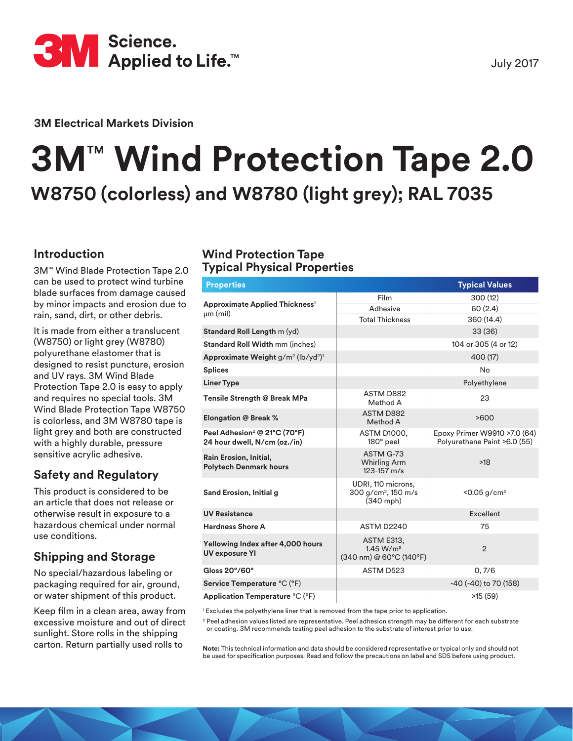

July 2017

**3M Electrical Markets Division**

# **3M**™ **Wind Protection Tape 2.0 W8750 (colorless) and W8780 (light grey); RAL 7035**

### **Introduction**

3M™ Wind Blade Protection Tape 2.0 can be used to protect wind turbine blade surfaces from damage caused by minor impacts and erosion due to rain, sand, dirt, or other debris.

It is made from either a translucent (W8750) or light grey (W8780) polyurethane elastomer that is designed to resist puncture, erosion and UV rays. 3M Wind Blade Protection Tape 2.0 is easy to apply and requires no special tools. 3M Wind Blade Protection Tape W8750 is colorless, and 3M W8780 tape is light grey and both are constructed with a highly durable, pressure sensitive acrylic adhesive.

# **Safety and Regulatory**

This product is considered to be an article that does not release or otherwise result in exposure to a hazardous chemical under normal use conditions.

# **Shipping and Storage**

No special/hazardous labeling or packaging required for air, ground, or water shipment of this product.

Keep film in a clean area, away from excessive moisture and out of direct sunlight. Store rolls in the shipping carton. Return partially used rolls to

## **Wind Protection Tape Typical Physical Properties**

| <b>Properties</b>                                                        | <b>Typical Values</b>                                              |                                                              |  |
|--------------------------------------------------------------------------|--------------------------------------------------------------------|--------------------------------------------------------------|--|
| <b>Approximate Applied Thickness<sup>1</sup></b><br>$µm$ (mil)           | Film                                                               | 300(12)                                                      |  |
|                                                                          | Adhesive                                                           | 60(2.4)                                                      |  |
|                                                                          | <b>Total Thickness</b>                                             | 360 (14.4)                                                   |  |
| Standard Roll Length m (yd)                                              |                                                                    | 33(36)                                                       |  |
| <b>Standard Roll Width mm (inches)</b>                                   |                                                                    | 104 or 305 (4 or 12)                                         |  |
| Approximate Weight g/m <sup>2</sup> (lb/yd <sup>2)1</sup>                |                                                                    | 400 (17)                                                     |  |
| <b>Splices</b>                                                           |                                                                    | No                                                           |  |
| <b>Liner Type</b>                                                        |                                                                    | Polyethylene                                                 |  |
| Tensile Strength @ Break MPa                                             | ASTM D882<br>Method A                                              | 23                                                           |  |
| <b>Elongation @ Break %</b>                                              | <b>ASTM D882</b><br>Method A                                       | >600                                                         |  |
| Peel Adhesion <sup>2</sup> @ 21°C (70°F)<br>24 hour dwell, N/cm (oz./in) | ASTM D1000.<br>180° peel                                           | Epoxy Primer W9910 >7.0 (64)<br>Polyurethane Paint >6.0 (55) |  |
| Rain Erosion, Initial,<br><b>Polytech Denmark hours</b>                  | ASTM G-73<br><b>Whirling Arm</b><br>$123 - 157$ m/s                | $>18$                                                        |  |
| Sand Erosion, Initial g                                                  | UDRI, 110 microns,<br>300 g/cm <sup>2</sup> , 150 m/s<br>(340 mph) | $< 0.05$ g/cm <sup>2</sup>                                   |  |
| <b>UV Resistance</b>                                                     |                                                                    | Excellent                                                    |  |
| <b>Hardness Shore A</b>                                                  | <b>ASTM D2240</b>                                                  | 75                                                           |  |
| Yellowing Index after 4,000 hours<br><b>UV exposure YI</b>               | ASTM E313,<br>1.45 W/m <sup>2</sup><br>(340 nm) @ 60°C (140°F)     | $\overline{2}$                                               |  |
| Gloss 20°/60°                                                            | ASTM D523                                                          | 0, 7/6                                                       |  |
| Service Temperature °C (°F)                                              |                                                                    | -40 (-40) to 70 (158)                                        |  |
| Application Temperature °C (°F)                                          |                                                                    | >15(59)                                                      |  |

<sup>1</sup> Excludes the polyethylene liner that is removed from the tape prior to application.

<sup>2</sup> Peel adhesion values listed are representative. Peel adhesion strength may be different for each substrate or coating. 3M recommends testing peel adhesion to the substrate of interest prior to use.

**Note:** This technical information and data should be considered representative or typical only and should not be used for specification purposes. Read and follow the precautions on label and SDS before using product.